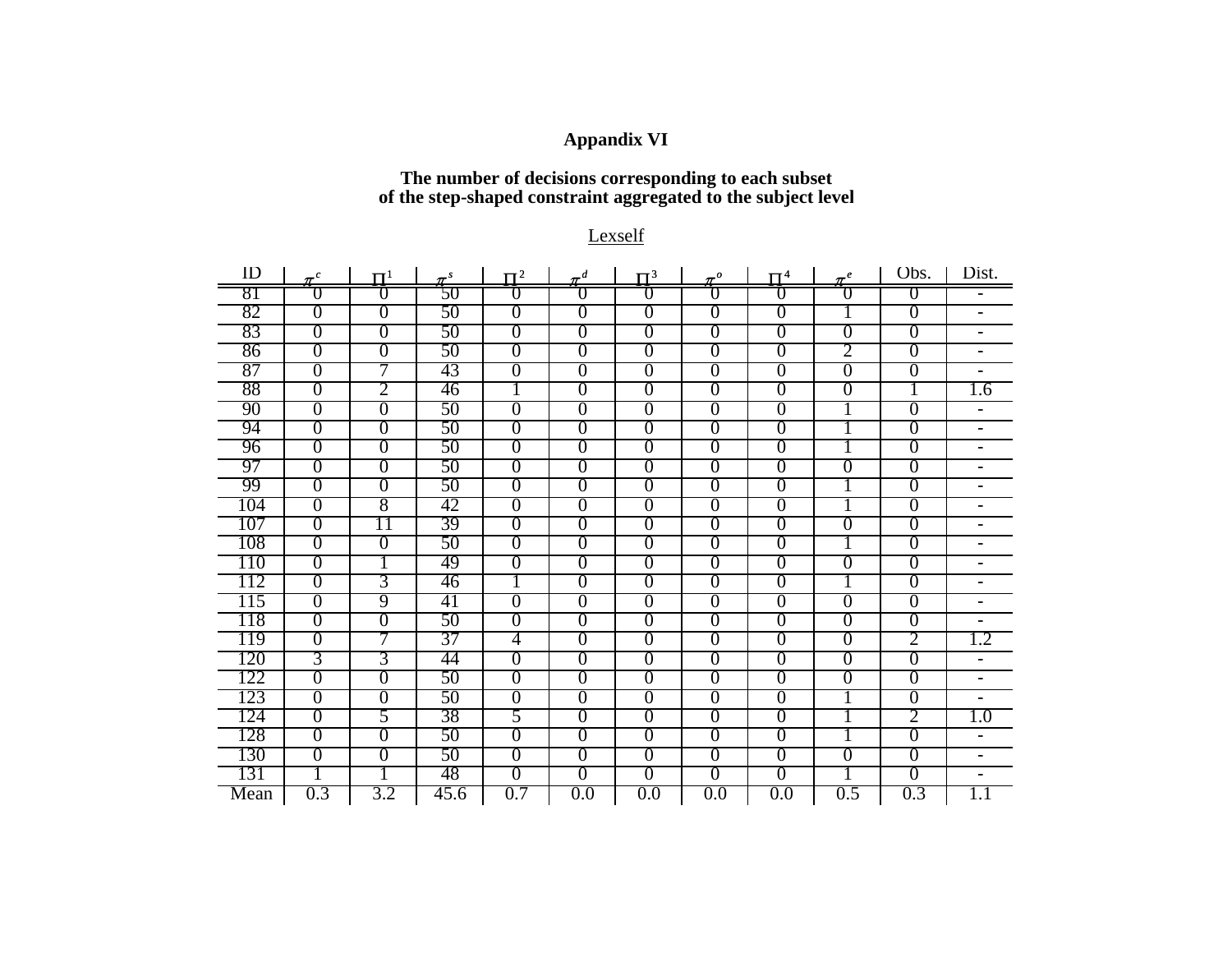### **Appandix VI**

### **The number of decisions corresponding to each subset of the step-shaped constraint aggregated to the subject level**

#### Lexself

| ID   | $\pi^{c}$      | $\Pi^1$        | $\pi^s$ | $\mathbf{U}^2$ | $\pi^d$        | $\Pi^3$        | $\pi^o$        | $\Pi^4$        | $\pi^e$          | Obs.             | Dist.                        |
|------|----------------|----------------|---------|----------------|----------------|----------------|----------------|----------------|------------------|------------------|------------------------------|
| 81   | O              | U              | 50      | U              | O              | U              | U              | U              | U                | $\overline{0}$   |                              |
| 82   | $\overline{0}$ | $\overline{0}$ | 50      | $\overline{0}$ | $\overline{0}$ | $\overline{0}$ | $\overline{0}$ | $\overline{0}$ |                  | $\overline{0}$   | $\overline{\phantom{0}}$     |
| 83   | $\overline{0}$ | $\overline{0}$ | 50      | $\overline{0}$ | $\overline{0}$ | $\overline{0}$ | $\overline{0}$ | $\overline{0}$ | $\overline{0}$   | $\overline{0}$   | $\overline{\phantom{0}}$     |
| 86   | $\overline{0}$ | $\overline{0}$ | 50      | $\overline{0}$ | $\overline{0}$ | $\overline{0}$ | $\overline{0}$ | $\overline{0}$ | 2                | $\overline{0}$   | Ξ.                           |
| 87   | $\overline{0}$ | 7              | 43      | $\overline{0}$ | $\overline{0}$ | $\overline{0}$ | $\overline{0}$ | $\overline{0}$ | $\overline{0}$   | $\overline{0}$   | $\overline{\phantom{0}}$     |
| 88   | $\overline{0}$ | 2              | 46      | 1              | $\overline{0}$ | $\overline{0}$ | $\overline{0}$ | $\overline{0}$ | $\overline{0}$   | 1                | 1.6                          |
| 90   | $\overline{0}$ | $\overline{0}$ | 50      | $\overline{0}$ | $\overline{0}$ | $\overline{0}$ | $\overline{0}$ | $\overline{0}$ | 1                | $\overline{0}$   |                              |
| 94   | $\overline{0}$ | $\overline{0}$ | 50      | $\overline{0}$ | $\overline{0}$ | $\overline{0}$ | $\overline{0}$ | $\overline{0}$ | 1                | $\overline{0}$   | $\qquad \qquad \blacksquare$ |
| 96   | $\overline{0}$ | $\overline{0}$ | 50      | $\overline{0}$ | $\overline{0}$ | $\theta$       | $\overline{0}$ | $\overline{0}$ | 1                | $\overline{0}$   |                              |
| 97   | $\overline{0}$ | $\overline{0}$ | 50      | $\overline{0}$ | $\overline{0}$ | $\overline{0}$ | $\overline{0}$ | $\overline{0}$ | $\overline{0}$   | $\overline{0}$   |                              |
| 99   | $\overline{0}$ | $\overline{0}$ | 50      | $\overline{0}$ | $\overline{0}$ | $\overline{0}$ | $\overline{0}$ | $\overline{0}$ | 1                | $\overline{0}$   |                              |
| 104  | $\overline{0}$ | 8              | 42      | $\overline{0}$ | $\overline{0}$ | $\overline{0}$ | $\overline{0}$ | $\overline{0}$ |                  | $\overline{0}$   |                              |
| 107  | $\overline{0}$ | 11             | 39      | $\overline{0}$ | $\overline{0}$ | $\overline{0}$ | $\overline{0}$ | $\overline{0}$ | $\overline{0}$   | $\overline{0}$   |                              |
| 108  | $\overline{0}$ | $\overline{0}$ | 50      | $\overline{0}$ | $\overline{0}$ | $\overline{0}$ | $\theta$       | $\overline{0}$ | $\bf{l}$         | $\overline{0}$   | -                            |
| 110  | $\overline{0}$ |                | 49      | $\overline{0}$ | $\overline{0}$ | $\overline{0}$ | $\overline{0}$ | $\overline{0}$ | $\overline{0}$   | $\overline{0}$   | Ξ.                           |
| 112  | $\overline{0}$ | 3              | 46      | 1              | $\overline{0}$ | $\overline{0}$ | $\overline{0}$ | $\overline{0}$ | 1                | $\overline{0}$   | $\overline{\phantom{0}}$     |
| 115  | $\overline{0}$ | 9              | 41      | $\overline{0}$ | 0              | $\overline{0}$ | $\overline{0}$ | $\overline{0}$ | $\overline{0}$   | $\overline{0}$   |                              |
| 118  | $\overline{0}$ | $\overline{0}$ | 50      | $\overline{0}$ | $\overline{0}$ | $\overline{0}$ | $\theta$       | $\overline{0}$ | $\overline{0}$   | $\overline{0}$   |                              |
| 119  | $\overline{0}$ | 7              | 37      | 4              | $\overline{0}$ | $\overline{0}$ | $\overline{0}$ | $\overline{0}$ | $\overline{0}$   | $\overline{2}$   | 1.2                          |
| 120  | 3              | 3              | 44      | $\overline{0}$ | $\overline{0}$ | $\overline{0}$ | $\overline{0}$ | $\overline{0}$ | $\overline{0}$   | $\overline{0}$   | -                            |
| .22  | 0              | $\overline{0}$ | 50      | $\overline{0}$ | 0              | $\theta$       | $\theta$       | $\overline{0}$ | $\boldsymbol{0}$ | $\boldsymbol{0}$ | $\overline{\phantom{0}}$     |
| 123  | $\overline{0}$ | $\overline{0}$ | 50      | $\overline{0}$ | $\overline{0}$ | $\overline{0}$ | $\overline{0}$ | $\overline{0}$ | 1                | $\overline{0}$   | -                            |
| 24   | $\overline{0}$ | 5              | 38      | 5              | 0              | $\theta$       | $\theta$       | 0              | $\bf{l}$         | 2                | $1.0\,$                      |
| 128  | $\overline{0}$ | $\overline{0}$ | 50      | $\overline{0}$ | $\overline{0}$ | $\overline{0}$ | $\overline{0}$ | $\overline{0}$ | 1                | $\overline{0}$   |                              |
| 130  | $\overline{0}$ | $\overline{0}$ | 50      | $\overline{0}$ | $\overline{0}$ | $\overline{0}$ | $\overline{0}$ | $\overline{0}$ | $\overline{0}$   | $\overline{0}$   |                              |
| 131  |                | 1              | 48      | $\overline{0}$ | $\overline{0}$ | $\overline{0}$ | $\overline{0}$ | $\overline{0}$ | 1                | $\overline{0}$   | $\overline{\phantom{0}}$     |
| Mean | 0.3            | 3.2            | 45.6    | 0.7            | 0.0            | 0.0            | 0.0            | 0.0            | 0.5              | 0.3              | 1.1                          |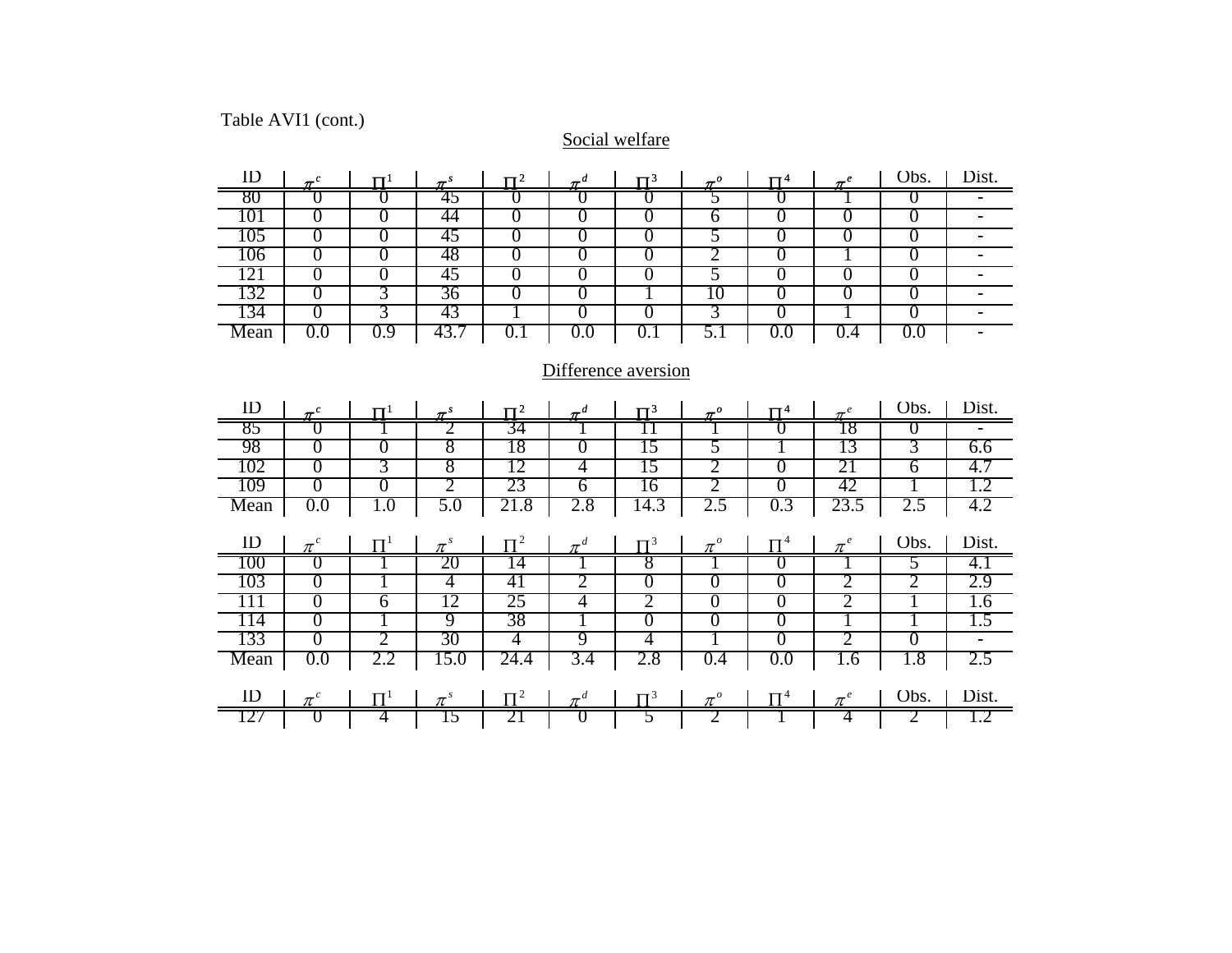## Table AVI1 (cont.)

#### Social welfare

| ID                  | $\pi^{c}$             | $\Pi^1$        | $\pi^s$ | $\Pi^2$        | $\pi^d$        | $\Pi^3$        | $\boldsymbol{\mathcal{I}}^o$ | $\Pi^4$        | $\boldsymbol{\pi}^e$ | Obs.           | Dist.                    |
|---------------------|-----------------------|----------------|---------|----------------|----------------|----------------|------------------------------|----------------|----------------------|----------------|--------------------------|
| 80                  | O                     | Ū              | 45      | O              | U              | O              | 5                            | O              |                      | U              | -                        |
| 101                 | $\overline{0}$        | $\overline{0}$ | 44      | $\overline{0}$ | $\overline{0}$ | $\overline{0}$ | 6                            | $\theta$       | $\theta$             | $\overline{0}$ | $\blacksquare$           |
| 105                 | $\overline{0}$        | $\overline{0}$ | 45      | $\overline{0}$ | $\overline{0}$ | $\overline{0}$ | 5                            | $\overline{0}$ | $\overline{0}$       | $\overline{0}$ | Ξ.                       |
| 106                 | $\overline{0}$        | $\overline{0}$ | 48      | $\overline{0}$ | $\overline{0}$ | $\overline{0}$ | 2                            | $\theta$       | -1                   | $\overline{0}$ | $\overline{\phantom{0}}$ |
| 121                 | $\overline{0}$        | $\overline{0}$ | 45      | $\overline{0}$ | $\overline{0}$ | $\overline{0}$ | 5                            | $\overline{0}$ | $\Omega$             | $\overline{0}$ | $\overline{\phantom{0}}$ |
| 132                 | $\overline{0}$        | 3              | 36      | $\overline{0}$ | $\overline{0}$ | 1              | 10                           | $\overline{0}$ | $\overline{0}$       | 0              | $\overline{\phantom{0}}$ |
| 134                 | $\overline{0}$        | 3              | 43      |                | $\overline{0}$ | $\overline{0}$ | 3                            | $\overline{0}$ |                      | $\overline{0}$ | $\blacksquare$           |
| Mean                | $0.0\,$               | 0.9            | 43.7    | 0.1            | 0.0            | 0.1            | 5.1                          | 0.0            | 0.4                  | 0.0            | $\overline{\phantom{0}}$ |
|                     |                       |                |         |                |                |                |                              |                |                      |                |                          |
| Difference aversion |                       |                |         |                |                |                |                              |                |                      |                |                          |
| ID                  | $\boldsymbol{\tau}^c$ | π1             | $\pi^s$ | $\Pi^2$        | $\pi^d$        | $\Pi^3$        | $\pi^o$                      | $\Pi^4$        | $\pi^e$              | Obs.           | Dist.                    |
| 85                  | O                     |                | 2       | 34             |                | 11             |                              | $\theta$       | 18                   | U              | $\blacksquare$           |
| 98                  | $\overline{0}$        | $\overline{0}$ | 8       | 18             | 0              | 15             | 5                            |                | 13                   | 3              | 6.6                      |
| 102                 | $\overline{0}$        | 3              | 8       | 12             | 4              | 15             | 2                            | $\overline{0}$ | 21                   | $\overline{6}$ | 4.7                      |
| 109                 | $\overline{0}$        | $\overline{0}$ | 2       | 23             | $\overline{6}$ | 16             | 2                            | $\overline{0}$ | 42                   |                | 1.2                      |
| Mean                | 0.0                   | $1.0\,$        | 5.0     | 21.8           | 2.8            | 14.3           | 2.5                          | 0.3            | 23.5                 | 2.5            | 4.2                      |
| ID                  | $\pi^{c}$             | $\Pi^1$        | $\pi^s$ | $\Pi^2$        | $\pi^d$        | $\Pi^3$        | $\pi^o$                      | $\Pi^4$        | $\pi^e$              | Obs.           | Dist.                    |
| 100                 | $_{\rm 0}$            |                | 20      | 14             |                | 8              | ı                            | U              |                      | 5              | 4.1                      |
| 103                 | $\overline{0}$        |                | 4       | 41             | 2              | $\overline{0}$ | $\overline{0}$               | $\overline{0}$ | $\overline{2}$       | $\overline{2}$ | 2.9                      |
| 111                 | $\overline{0}$        | $\overline{6}$ | 12      | 25             | 4              | 2              | $\overline{0}$               | $\overline{0}$ | 2                    | T              | 1.6                      |
| 114                 | $\overline{0}$        |                | 9       | 38             | 1              | $\overline{0}$ | $\overline{0}$               | $\overline{0}$ | 1                    |                | 1.5                      |
| 133                 | $\overline{0}$        | 2              | 30      | 4              | 9              | 4              |                              | $\overline{0}$ | 2                    | 0              | $\overline{\phantom{0}}$ |
| Mean                | 0.0                   | 2.2            | 15.0    | 24.4           | 3.4            | 2.8            | 0.4                          | 0.0            | 1.6                  | 1.8            | 2.5                      |
|                     |                       |                |         |                |                |                |                              |                |                      |                |                          |
| ID                  | $\pi^{c}$             | $\Pi^1$        | $\pi^s$ | $\Pi^2$        | $\pi^d$        | $\mathbf{T}^3$ | $\pi^o$                      | $\Pi^4$        | $\pi^e$              | Obs.           | Dist.                    |
| 127                 | $\cup$                |                | 15      |                |                |                |                              |                | 4                    |                | 1.2                      |